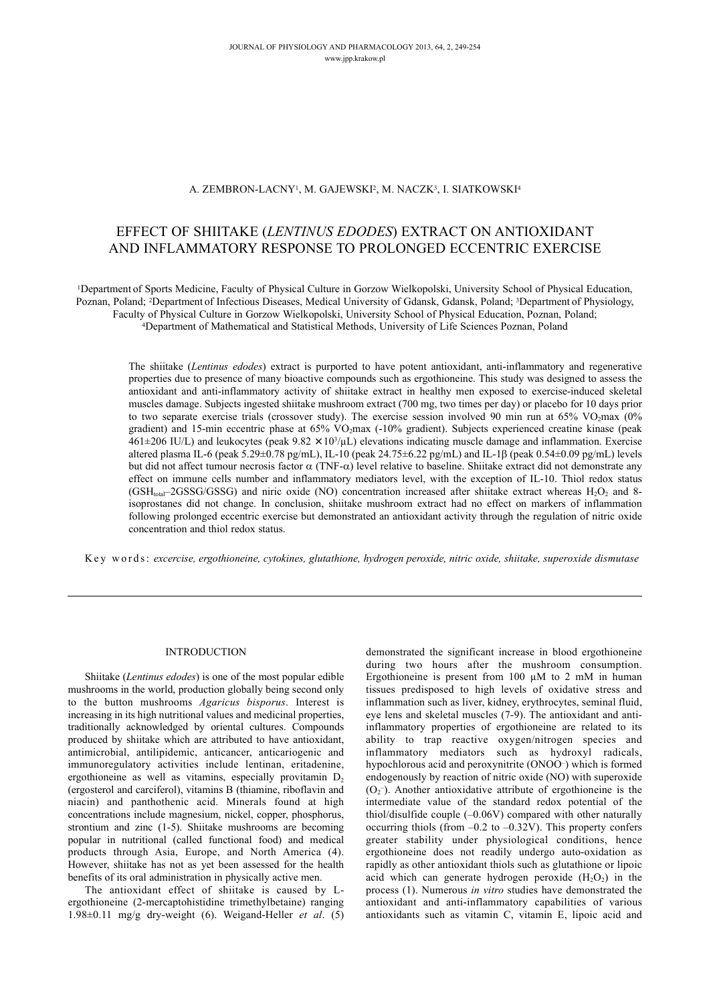### A. ZEMBRON-LACNY<sup>1</sup>, M. GAJEWSKI<sup>2</sup>, M. NACZK<sup>3</sup>, I. SIATKOWSKI<sup>4</sup>

# EFFECT OF SHIITAKE (*LENTINUS EDODES*) EXTRACT ON ANTIOXIDANT AND INFLAMMATORY RESPONSE TO PROLONGED ECCENTRIC EXERCISE

1Department of Sports Medicine, Faculty of Physical Culture in Gorzow Wielkopolski, University School of Physical Education, Poznan, Poland; 2Department of Infectious Diseases, Medical University of Gdansk, Gdansk, Poland; 3Department of Physiology, Faculty of Physical Culture in Gorzow Wielkopolski, University School of Physical Education, Poznan, Poland; 4Department of Mathematical and Statistical Methods, University of Life Sciences Poznan, Poland

The shiitake (*Lentinus edodes*) extract is purported to have potent antioxidant, anti-inflammatory and regenerative properties due to presence of many bioactive compounds such as ergothioneine. This study was designed to assess the antioxidant and anti-inflammatory activity of shiitake extract in healthy men exposed to exercise-induced skeletal muscles damage. Subjects ingested shiitake mushroom extract (700 mg, two times per day) or placebo for 10 days prior to two separate exercise trials (crossover study). The exercise session involved 90 min run at  $65\%$  VO<sub>2</sub>max (0%) gradient) and 15-min eccentric phase at 65% VO<sub>2</sub>max (-10% gradient). Subjects experienced creatine kinase (peak  $461\pm206$  IU/L) and leukocytes (peak  $9.82 \times 10^3/\mu$ L) elevations indicating muscle damage and inflammation. Exercise altered plasma IL-6 (peak  $5.29 \pm 0.78$  pg/mL), IL-10 (peak  $24.75 \pm 6.22$  pg/mL) and IL-1 $\beta$  (peak  $0.54 \pm 0.09$  pg/mL) levels but did not affect tumour necrosis factor  $\alpha$  (TNF- $\alpha$ ) level relative to baseline. Shiitake extract did not demonstrate any effect on immune cells number and inflammatory mediators level, with the exception of IL-10. Thiol redox status  $(GSH<sub>total</sub>-2GSSG/GSSG)$  and niric oxide (NO) concentration increased after shiitake extract whereas H<sub>2</sub>O<sub>2</sub> and 8isoprostanes did not change. In conclusion, shiitake mushroom extract had no effect on markers of inflammation following prolonged eccentric exercise but demonstrated an antioxidant activity through the regulation of nitric oxide concentration and thiol redox status.

Key words: *excercise, ergothioneine, cytokines, glutathione, hydrogen peroxide, nitric oxide, shiitake, superoxide dismutase*

## INTRODUCTION

Shiitake (*Lentinus edodes*) is one of the most popular edible mushrooms in the world, production globally being second only to the button mushrooms *Agaricus bisporus*. Interest is increasing in its high nutritional values and medicinal properties, traditionally acknowledged by oriental cultures. Compounds produced by shiitake which are attributed to have antioxidant, antimicrobial, antilipidemic, anticancer, anticariogenic and immunoregulatory activities include lentinan, eritadenine, ergothioneine as well as vitamins, especially provitamin  $D_2$ (ergosterol and carciferol), vitamins B (thiamine, riboflavin and niacin) and panthothenic acid. Minerals found at high concentrations include magnesium, nickel, copper, phosphorus, strontium and zinc (1-5). Shiitake mushrooms are becoming popular in nutritional (called functional food) and medical products through Asia, Europe, and North America (4). However, shiitake has not as yet been assessed for the health benefits of its oral administration in physically active men.

The antioxidant effect of shiitake is caused by Lergothioneine (2-mercaptohistidine trimethylbetaine) ranging 1.98±0.11 mg/g dry-weight (6). Weigand-Heller *et al*. (5) demonstrated the significant increase in blood ergothioneine during two hours after the mushroom consumption. Ergothioneine is present from 100  $\mu$ M to 2 mM in human tissues predisposed to high levels of oxidative stress and inflammation such as liver, kidney, erythrocytes, seminal fluid, eye lens and skeletal muscles (7-9). The antioxidant and antiinflammatory properties of ergothioneine are related to its ability to trap reactive oxygen/nitrogen species and inflammatory mediators such as hydroxyl radicals, hypochlorous acid and peroxynitrite (ONOO–) which is formed endogenously by reaction of nitric oxide (NO) with superoxide  $(O_2^-)$ . Another antioxidative attribute of ergothioneine is the intermediate value of the standard redox potential of the thiol/disulfide couple (–0.06V) compared with other naturally occurring thiols (from  $-0.2$  to  $-0.32V$ ). This property confers greater stability under physiological conditions, hence ergothioneine does not readily undergo auto-oxidation as rapidly as other antioxidant thiols such as glutathione or lipoic acid which can generate hydrogen peroxide  $(H_2O_2)$  in the process (1). Numerous *in vitro* studies have demonstrated the antioxidant and anti-inflammatory capabilities of various antioxidants such as vitamin C, vitamin E, lipoic acid and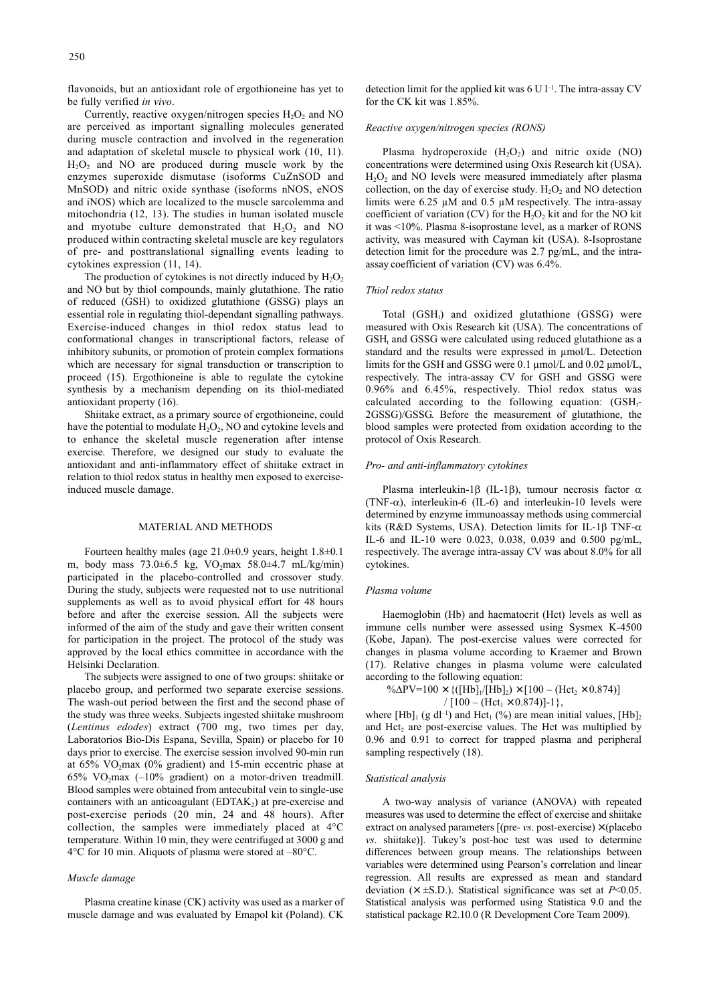flavonoids, but an antioxidant role of ergothioneine has yet to be fully verified *in vivo*.

Currently, reactive oxygen/nitrogen species  $H_2O_2$  and NO are perceived as important signalling molecules generated during muscle contraction and involved in the regeneration and adaptation of skeletal muscle to physical work (10, 11).  $H_2O_2$  and NO are produced during muscle work by the enzymes superoxide dismutase (isoforms CuZnSOD and MnSOD) and nitric oxide synthase (isoforms nNOS, eNOS and iNOS) which are localized to the muscle sarcolemma and mitochondria (12, 13). The studies in human isolated muscle and myotube culture demonstrated that  $H_2O_2$  and NO produced within contracting skeletal muscle are key regulators of pre- and posttranslational signalling events leading to cytokines expression (11, 14).

The production of cytokines is not directly induced by  $H_2O_2$ and NO but by thiol compounds, mainly glutathione. The ratio of reduced (GSH) to oxidized glutathione (GSSG) plays an essential role in regulating thiol-dependant signalling pathways. Exercise-induced changes in thiol redox status lead to conformational changes in transcriptional factors, release of inhibitory subunits, or promotion of protein complex formations which are necessary for signal transduction or transcription to proceed (15). Ergothioneine is able to regulate the cytokine synthesis by a mechanism depending on its thiol-mediated antioxidant property (16).

Shiitake extract, as a primary source of ergothioneine, could have the potential to modulate  $H_2O_2$ , NO and cytokine levels and to enhance the skeletal muscle regeneration after intense exercise. Therefore, we designed our study to evaluate the antioxidant and anti-inflammatory effect of shiitake extract in relation to thiol redox status in healthy men exposed to exerciseinduced muscle damage.

#### MATERIAL AND METHODS

Fourteen healthy males (age 21.0±0.9 years, height 1.8±0.1 m, body mass  $73.0\pm6.5$  kg, VO<sub>2</sub>max  $58.0\pm4.7$  mL/kg/min) participated in the placebo-controlled and crossover study. During the study, subjects were requested not to use nutritional supplements as well as to avoid physical effort for 48 hours before and after the exercise session. All the subjects were informed of the aim of the study and gave their written consent for participation in the project. The protocol of the study was approved by the local ethics committee in accordance with the Helsinki Declaration.

The subjects were assigned to one of two groups: shiitake or placebo group, and performed two separate exercise sessions. The wash-out period between the first and the second phase of the study was three weeks. Subjects ingested shiitake mushroom (*Lentinus edodes*) extract (700 mg, two times per day, Laboratorios Bio-Dis Espana, Sevilla, Spain) or placebo for 10 days prior to exercise. The exercise session involved 90-min run at  $65\%$  VO<sub>2</sub>max (0% gradient) and 15-min eccentric phase at 65% VO<sub>2</sub>max  $(-10%$  gradient) on a motor-driven treadmill. Blood samples were obtained from antecubital vein to single-use containers with an anticoagulant  $(EDTAK<sub>2</sub>)$  at pre-exercise and post-exercise periods (20 min, 24 and 48 hours). After collection, the samples were immediately placed at 4°C temperature. Within 10 min, they were centrifuged at 3000 g and 4°C for 10 min. Aliquots of plasma were stored at –80°C.

#### *Muscle damage*

Plasma creatine kinase (CK) activity was used as a marker of muscle damage and was evaluated by Emapol kit (Poland). CK detection limit for the applied kit was  $6 \text{ U } l^{-1}$ . The intra-assay CV for the CK kit was 1.85%.

## *Reactive oxygen/nitrogen species (RONS)*

Plasma hydroperoxide  $(H_2O_2)$  and nitric oxide (NO) concentrations were determined using Oxis Research kit (USA).  $H<sub>2</sub>O<sub>2</sub>$  and NO levels were measured immediately after plasma collection, on the day of exercise study.  $H_2O_2$  and NO detection limits were 6.25 µM and 0.5 µM respectively. The intra-assay coefficient of variation (CV) for the  $H_2O_2$  kit and for the NO kit it was <10%. Plasma 8-isoprostane level, as a marker of RONS activity, was measured with Cayman kit (USA). 8-Isoprostane detection limit for the procedure was 2.7 pg/mL, and the intraassay coefficient of variation (CV) was 6.4%.

#### *Thiol redox status*

Total  $(GSH<sub>t</sub>)$  and oxidized glutathione  $(GSSG)$  were measured with Oxis Research kit (USA). The concentrations of  $GSH<sub>t</sub>$  and  $GSSG$  were calculated using reduced glutathione as a standard and the results were expressed in µmol/L. Detection limits for the GSH and GSSG were 0.1  $\mu$ mol/L and 0.02  $\mu$ mol/L, respectively. The intra-assay CV for GSH and GSSG were 0.96% and 6.45%, respectively. Thiol redox status was calculated according to the following equation:  $(GSH<sub>t</sub> -$ 2GSSG)/GSSG. Before the measurement of glutathione, the blood samples were protected from oxidation according to the protocol of Oxis Research.

## *Pro- and anti-inflammatory cytokines*

Plasma interleukin-1 $\beta$  (IL-1 $\beta$ ), tumour necrosis factor  $\alpha$ (TNF- $\alpha$ ), interleukin-6 (IL-6) and interleukin-10 levels were determined by enzyme immunoassay methods using commercial kits (R&D Systems, USA). Detection limits for IL-1 $\beta$  TNF- $\alpha$ IL-6 and IL-10 were 0.023, 0.038, 0.039 and 0.500 pg/mL, respectively. The average intra-assay CV was about 8.0% for all cytokines.

#### *Plasma volume*

Haemoglobin (Hb) and haematocrit (Hct) levels as well as immune cells number were assessed using Sysmex K-4500 (Kobe, Japan). The post-exercise values were corrected for changes in plasma volume according to Kraemer and Brown (17). Relative changes in plasma volume were calculated according to the following equation:

 $\%$  $\Delta$ PV=100 × {([Hb]<sub>1</sub>/[Hb]<sub>2</sub>) × [100 – (Hct<sub>2</sub> × 0.874)]

$$
/[100 - (Het_{1} \times 0.874)]-1\},
$$

where  $[Hb]_1$  (g dl<sup>-1</sup>) and Hct<sub>1</sub> (%) are mean initial values,  $[Hb]_2$ and  $Hct<sub>2</sub>$  are post-exercise values. The Hct was multiplied by 0.96 and 0.91 to correct for trapped plasma and peripheral sampling respectively (18).

#### *Statistical analysis*

A two-way analysis of variance (ANOVA) with repeated measures was used to determine the effect of exercise and shiitake extract on analysed parameters [(pre- *vs*. post-exercise) × (placebo *vs*. shiitake)]. Tukey's post-hoc test was used to determine differences between group means. The relationships between variables were determined using Pearson's correlation and linear regression. All results are expressed as mean and standard deviation ( $\times \pm$ S.D.). Statistical significance was set at *P*<0.05. Statistical analysis was performed using Statistica 9.0 and the statistical package R2.10.0 (R Development Core Team 2009).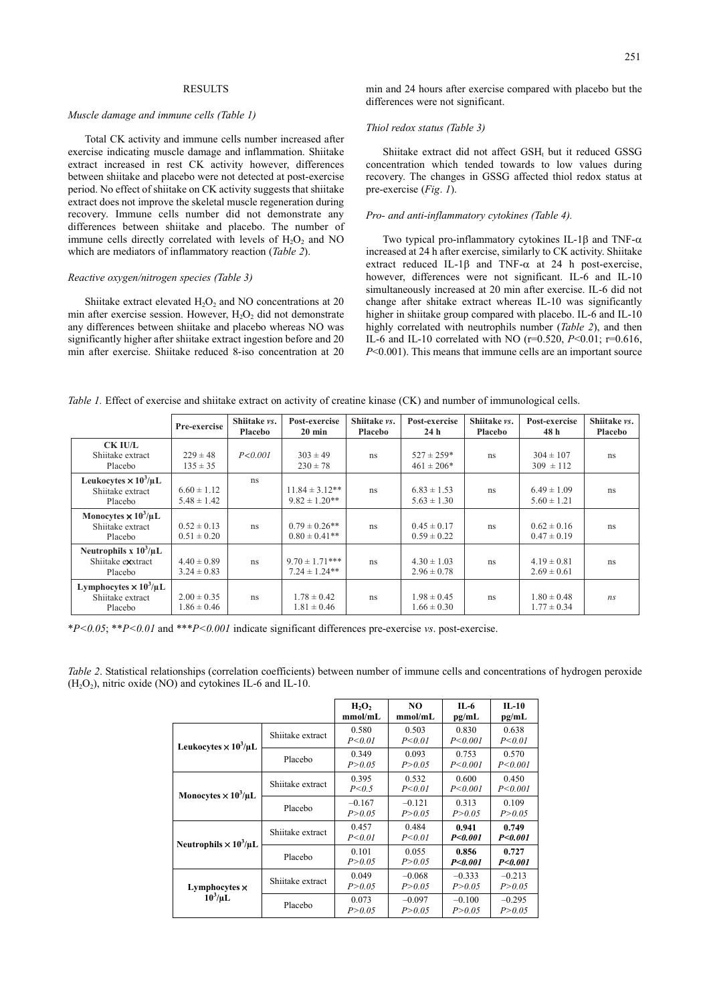## RESULTS

#### *Muscle damage and immune cells (Table 1)*

Total CK activity and immune cells number increased after exercise indicating muscle damage and inflammation. Shiitake extract increased in rest CK activity however, differences between shiitake and placebo were not detected at post-exercise period. No effect of shiitake on CK activity suggests that shiitake extract does not improve the skeletal muscle regeneration during recovery. Immune cells number did not demonstrate any differences between shiitake and placebo. The number of immune cells directly correlated with levels of  $H_2O_2$  and NO which are mediators of inflammatory reaction (*Table 2*).

#### *Reactive oxygen/nitrogen species (Table 3)*

Shiitake extract elevated  $H_2O_2$  and NO concentrations at 20 min after exercise session. However,  $H_2O_2$  did not demonstrate any differences between shiitake and placebo whereas NO was significantly higher after shiitake extract ingestion before and 20 min after exercise. Shiitake reduced 8-iso concentration at 20 min and 24 hours after exercise compared with placebo but the differences were not significant.

## *Thiol redox status (Table 3)*

Shiitake extract did not affect  $GSH<sub>t</sub>$  but it reduced  $GSSG$ concentration which tended towards to low values during recovery. The changes in GSSG affected thiol redox status at pre-exercise (*Fig*. *1*).

#### *Pro- and anti-inflammatory cytokines (Table 4).*

Two typical pro-inflammatory cytokines IL-1 $\beta$  and TNF- $\alpha$ increased at 24 h after exercise, similarly to CK activity. Shiitake extract reduced IL-1 $\beta$  and TNF- $\alpha$  at 24 h post-exercise, however, differences were not significant. IL-6 and IL-10 simultaneously increased at 20 min after exercise. IL-6 did not change after shitake extract whereas IL-10 was significantly higher in shiitake group compared with placebo. IL-6 and IL-10 highly correlated with neutrophils number (*Table 2*), and then IL-6 and IL-10 correlated with NO (r=0.520, *P*<0.01; r=0.616, *P*<0.001). This means that immune cells are an important source

| <b>Pre-exercise</b> | Shiitake vs.<br>Placebo | Post-exercise<br>$20$ min | Shiitake <i>vs</i> .<br>Placebo | Post-exercise | Shiitake <i>vs</i> .<br>Placebo | Post-exercise<br>48 h | Shii<br>DI. |
|---------------------|-------------------------|---------------------------|---------------------------------|---------------|---------------------------------|-----------------------|-------------|

*Table 1.* Effect of exercise and shiitake extract on activity of creatine kinase (CK) and number of immunological cells.

|                                                                | Pre-exercise                       | Shiitake vs.<br><b>Placebo</b> | Post-exercise<br>$20 \text{ min}$        | Shiitake vs.<br><b>Placebo</b> | Post-exercise<br>24 <sub>h</sub>   | Shiitake vs.<br><b>Placebo</b> | Post-exercise<br>48 h              | Shiitake vs.<br>Placebo |
|----------------------------------------------------------------|------------------------------------|--------------------------------|------------------------------------------|--------------------------------|------------------------------------|--------------------------------|------------------------------------|-------------------------|
| CK IU/L<br>Shiitake extract<br>Placebo                         | $229 \pm 48$<br>$135 \pm 35$       | P < 0.001                      | $303 \pm 49$<br>$230 \pm 78$             | ns                             | $527 \pm 259*$<br>$461 \pm 206*$   | ns                             | $304 \pm 107$<br>$309 \pm 112$     | ns.                     |
| Leukocytes $\times 10^3/\mu L$<br>Shiitake extract<br>Placebo  | $6.60 \pm 1.12$<br>$5.48 \pm 1.42$ | ns.                            | $11.84 \pm 3.12**$<br>$9.82 \pm 1.20**$  | ns                             | $6.83 \pm 1.53$<br>$5.63 \pm 1.30$ | ns                             | $6.49 \pm 1.09$<br>$5.60 \pm 1.21$ | ns.                     |
| Monocytes $\times 10^3/\mu L$<br>Shiitake extract<br>Placebo   | $0.52 \pm 0.13$<br>$0.51 \pm 0.20$ | ns.                            | $0.79 \pm 0.26$ **<br>$0.80 \pm 0.41$ ** | ns                             | $0.45 \pm 0.17$<br>$0.59 \pm 0.22$ | ns                             | $0.62 \pm 0.16$<br>$0.47 \pm 0.19$ | ns.                     |
| Neutrophils x $10^3/\mu L$<br>Shiitake exxtract<br>Placebo     | $4.40 \pm 0.89$<br>$3.24 \pm 0.83$ | ns.                            | $9.70 \pm 1.71***$<br>$7.24 \pm 1.24**$  | ns                             | $4.30 \pm 1.03$<br>$2.96 \pm 0.78$ | ns                             | $4.19 \pm 0.81$<br>$2.69 \pm 0.61$ | ns.                     |
| Lymphocytes $\times 10^3/\mu L$<br>Shiitake extract<br>Placebo | $2.00 \pm 0.35$<br>$1.86 \pm 0.46$ | ns.                            | $1.78 \pm 0.42$<br>$1.81 \pm 0.46$       | ns                             | $1.98 \pm 0.45$<br>$1.66 \pm 0.30$ | ns                             | $1.80 \pm 0.48$<br>$1.77 \pm 0.34$ | ns                      |

\**P<0.05*; \*\**P<0.01* and \*\*\**P<0.001* indicate significant differences pre-exercise *vs*. post-exercise.

*Table 2*. Statistical relationships (correlation coefficients) between number of immune cells and concentrations of hydrogen peroxide  $(H<sub>2</sub>O<sub>2</sub>)$ , nitric oxide (NO) and cytokines IL-6 and IL-10.

|                                      |                  | $H_2O_2$<br>mmol/ml  | NO.<br>mmol/mL       | IL-6<br>pg/mL        | $IL-10$<br>pg/mL     |
|--------------------------------------|------------------|----------------------|----------------------|----------------------|----------------------|
| Leukocytes $\times 10^3/\mu L$       | Shiitake extract | 0.580<br>P < 0.01    | 0.503<br>P < 0.01    | 0.830<br>P < 0.001   | 0.638<br>P < 0.01    |
|                                      | Placebo          | 0.349<br>P > 0.05    | 0.093<br>P > 0.05    | 0.753<br>P < 0.001   | 0.570<br>P < 0.001   |
| Monocytes $\times 10^3/\mu L$        | Shiitake extract | 0.395<br>P < 0.5     | 0.532<br>P < 0.01    | 0.600<br>P < 0.001   | 0.450<br>P < 0.001   |
|                                      | Placebo          | $-0.167$<br>P > 0.05 | $-0.121$<br>P > 0.05 | 0.313<br>P > 0.05    | 0.109<br>P > 0.05    |
| Neutrophils $\times 10^3/\mu L$      | Shiitake extract | 0.457<br>P < 0.01    | 0.484<br>P < 0.01    | 0.941<br>P < 0.001   | 0.749<br>P < 0.001   |
|                                      | Placebo          | 0.101<br>P > 0.05    | 0.055<br>P > 0.05    | 0.856<br>P < 0.001   | 0.727<br>P < 0.001   |
| Lymphocytes $\times$<br>$10^3/\mu L$ | Shiitake extract | 0.049<br>P > 0.05    | $-0.068$<br>P > 0.05 | $-0.333$<br>P > 0.05 | $-0.213$<br>P > 0.05 |
|                                      | Placebo          | 0.073<br>P > 0.05    | $-0.097$<br>P > 0.05 | $-0.100$<br>P > 0.05 | $-0.295$<br>P > 0.05 |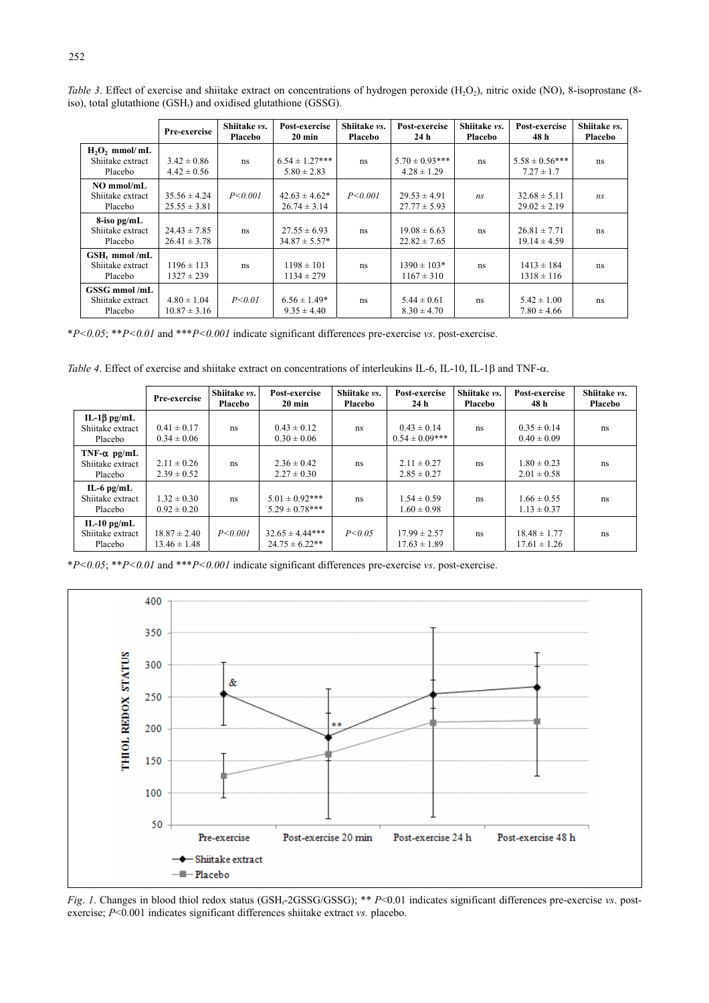|                                                     | Pre-exercise                         | Shiitake vs.<br>Placebo | Post-exercise<br>$20 \text{ min}$      | Shiitake vs.<br><b>Placebo</b> | Post-exercise<br>24 h                  | Shiitake vs.<br><b>Placebo</b> | Post-exercise<br>48 h                | Shiitake vs.<br>Placebo |
|-----------------------------------------------------|--------------------------------------|-------------------------|----------------------------------------|--------------------------------|----------------------------------------|--------------------------------|--------------------------------------|-------------------------|
| $H_2O_2$ mmol/mL<br>Shiitake extract<br>Placebo     | $3.42 \pm 0.86$<br>$4.42 \pm 0.56$   | ns                      | $6.54 \pm 1.27***$<br>$5.80 \pm 2.83$  | ns                             | $5.70 \pm 0.93$ ***<br>$4.28 \pm 1.29$ | ns                             | $5.58 \pm 0.56***$<br>$7.27 \pm 1.7$ | ns                      |
| NO mmol/mL<br>Shiitake extract<br>Placebo           | $35.56 \pm 4.24$<br>$25.55 \pm 3.81$ | P < 0.001               | $42.63 \pm 4.62^*$<br>$26.74 \pm 3.14$ | P < 0.001                      | $29.53 \pm 4.91$<br>$27.77 \pm 5.93$   | ns                             | $32.68 \pm 5.11$<br>$29.02 \pm 2.19$ | ns                      |
| $8$ -iso pg/mL<br>Shiitake extract<br>Placebo       | $24.43 \pm 7.85$<br>$26.41 \pm 3.78$ | ns                      | $27.55 \pm 6.93$<br>$34.87 \pm 5.57*$  | ns                             | $19.08 \pm 6.63$<br>$22.82 \pm 7.65$   | ns                             | $26.81 \pm 7.71$<br>$19.14 \pm 4.59$ | ns                      |
| $GSH_t$ mmol/mL<br>Shiitake extract<br>Placebo      | $1196 \pm 113$<br>$1327 \pm 239$     | ns                      | $1198 \pm 101$<br>$1134 \pm 279$       | ns                             | $1390 \pm 103*$<br>$1167 \pm 310$      | ns                             | $1413 \pm 184$<br>$1318 \pm 116$     | ns                      |
| <b>GSSG mmol /mL</b><br>Shiitake extract<br>Placebo | $4.80 \pm 1.04$<br>$10.87 \pm 3.16$  | P < 0.01                | $6.56 \pm 1.49*$<br>$9.35 \pm 4.40$    | ns                             | $5.44 \pm 0.61$<br>$8.30 \pm 4.70$     | ns                             | $5.42 \pm 1.00$<br>$7.80 \pm 4.66$   | ns                      |

*Table 3*. Effect of exercise and shiitake extract on concentrations of hydrogen peroxide (H<sub>2</sub>O<sub>2</sub>), nitric oxide (NO), 8-isoprostane (8iso), total glutathione  $(GSH<sub>t</sub>)$  and oxidised glutathione  $(GSSG)$ .

\**P<0.05*; \*\**P<0.01* and \*\*\**P<0.001* indicate significant differences pre-exercise *vs*. post-exercise.

| Table 4. Effect of exercise and shiitake extract on concentrations of interleukins IL-6, IL-10, IL-18 and TNF- $\alpha$ . |  |  |  |  |
|---------------------------------------------------------------------------------------------------------------------------|--|--|--|--|
|                                                                                                                           |  |  |  |  |

|                                                    | Pre-exercise                         | Shiitake vs.<br>Placebo | Post-exercise<br>$20 \text{ min}$         | Shiitake vs.<br>Placebo | Post-exercise<br>24 <sub>h</sub>      | Shiitake vs.<br>Placebo | Post-exercise<br>48 h                | Shiitake vs.<br><b>Placebo</b> |
|----------------------------------------------------|--------------------------------------|-------------------------|-------------------------------------------|-------------------------|---------------------------------------|-------------------------|--------------------------------------|--------------------------------|
| IL-1 $\beta$ pg/mL<br>Shiitake extract<br>Placebo  | $0.41 \pm 0.17$<br>$0.34 \pm 0.06$   | ns                      | $0.43 \pm 0.12$<br>$0.30 \pm 0.06$        | ns                      | $0.43 \pm 0.14$<br>$0.54 \pm 0.09***$ | ns                      | $0.35 \pm 0.14$<br>$0.40 \pm 0.09$   | ns                             |
| TNF- $\alpha$ pg/mL<br>Shiitake extract<br>Placebo | $2.11 \pm 0.26$<br>$2.39 \pm 0.52$   | ns                      | $2.36 \pm 0.42$<br>$2.27 \pm 0.30$        | ns                      | $2.11 \pm 0.27$<br>$2.85 \pm 0.27$    | ns                      | $1.80 \pm 0.23$<br>$2.01 \pm 0.58$   | ns                             |
| IL-6 $pg/mL$<br>Shiitake extract<br>Placebo        | $1.32 \pm 0.30$<br>$0.92 \pm 0.20$   | ns                      | $5.01 \pm 0.92$ ***<br>$5.29 \pm 0.78***$ | ns                      | $1.54 \pm 0.59$<br>$1.60 \pm 0.98$    | ns                      | $1.66 \pm 0.55$<br>$1.13 \pm 0.37$   | ns                             |
| IL-10 $pg/mL$<br>Shiitake extract<br>Placebo       | $18.87 \pm 2.40$<br>$13.46 \pm 1.48$ | P < 0.001               | $32.65 \pm 4.44***$<br>$24.75 \pm 6.22**$ | P < 0.05                | $17.99 \pm 2.57$<br>$17.63 \pm 1.89$  | ns                      | $18.48 \pm 1.77$<br>$17.61 \pm 1.26$ | ns                             |

\**P<0.05*; \*\**P<0.01* and \*\*\**P<0.001* indicate significant differences pre-exercise *vs*. post-exercise.



*Fig. 1*. Changes in blood thiol redox status (GSH<sub>t</sub>-2GSSG/GSSG); \*\* *P*<0.01 indicates significant differences pre-exercise *vs*. postexercise; *P*<0.001 indicates significant differences shiitake extract *vs.* placebo.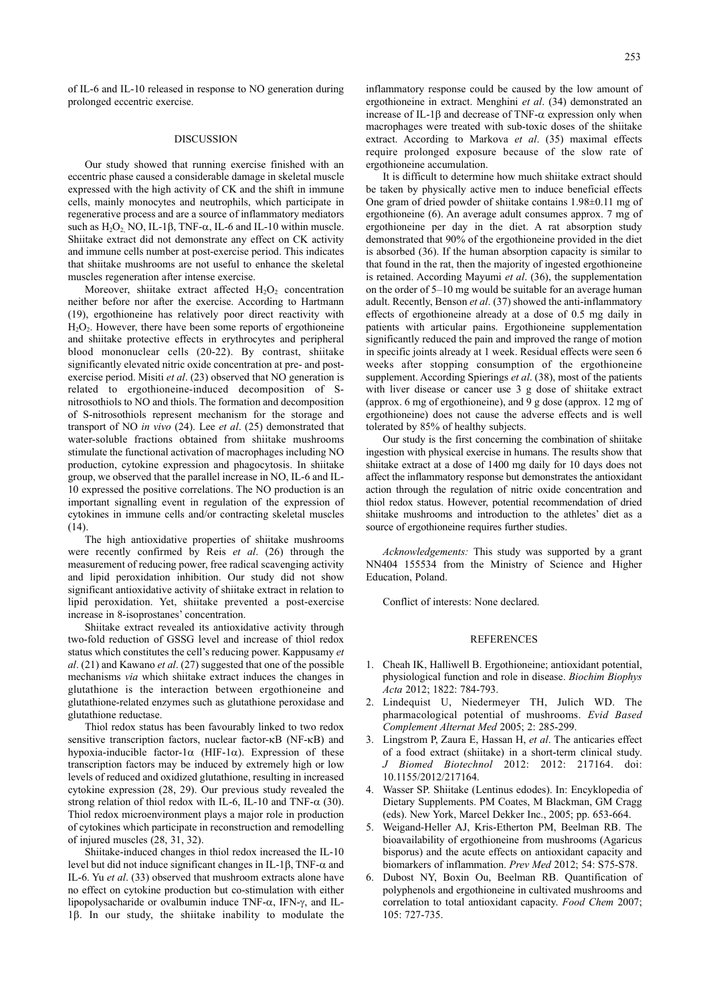of IL-6 and IL-10 released in response to NO generation during prolonged eccentric exercise.

## DISCUSSION

Our study showed that running exercise finished with an eccentric phase caused a considerable damage in skeletal muscle expressed with the high activity of CK and the shift in immune cells, mainly monocytes and neutrophils, which participate in regenerative process and are a source of inflammatory mediators such as  $H_2O_2$ , NO, IL-1 $\beta$ , TNF- $\alpha$ , IL-6 and IL-10 within muscle. Shiitake extract did not demonstrate any effect on CK activity and immune cells number at post-exercise period. This indicates that shiitake mushrooms are not useful to enhance the skeletal muscles regeneration after intense exercise.

Moreover, shiitake extract affected  $H_2O_2$  concentration neither before nor after the exercise. According to Hartmann (19), ergothioneine has relatively poor direct reactivity with  $H<sub>2</sub>O<sub>2</sub>$ . However, there have been some reports of ergothioneine and shiitake protective effects in erythrocytes and peripheral blood mononuclear cells (20-22). By contrast, shiitake significantly elevated nitric oxide concentration at pre- and postexercise period. Misiti *et al*. (23) observed that NO generation is related to ergothioneine-induced decomposition of Snitrosothiols to NO and thiols. The formation and decomposition of S-nitrosothiols represent mechanism for the storage and transport of NO *in vivo* (24). Lee *et al*. (25) demonstrated that water-soluble fractions obtained from shiitake mushrooms stimulate the functional activation of macrophages including NO production, cytokine expression and phagocytosis. In shiitake group, we observed that the parallel increase in NO, IL-6 and IL-10 expressed the positive correlations. The NO production is an important signalling event in regulation of the expression of cytokines in immune cells and/or contracting skeletal muscles  $(14)$ 

The high antioxidative properties of shiitake mushrooms were recently confirmed by Reis *et al*. (26) through the measurement of reducing power, free radical scavenging activity and lipid peroxidation inhibition. Our study did not show significant antioxidative activity of shiitake extract in relation to lipid peroxidation. Yet, shiitake prevented a post-exercise increase in 8-isoprostanes' concentration.

Shiitake extract revealed its antioxidative activity through two-fold reduction of GSSG level and increase of thiol redox status which constitutes the cell's reducing power. Kappusamy *et al*. (21) and Kawano *et al*. (27) suggested that one of the possible mechanisms *via* which shiitake extract induces the changes in glutathione is the interaction between ergothioneine and glutathione-related enzymes such as glutathione peroxidase and glutathione reductase.

Thiol redox status has been favourably linked to two redox sensitive transcription factors, nuclear factor- $\kappa$ B (NF- $\kappa$ B) and hypoxia-inducible factor- $1\alpha$  (HIF- $1\alpha$ ). Expression of these transcription factors may be induced by extremely high or low levels of reduced and oxidized glutathione, resulting in increased cytokine expression (28, 29). Our previous study revealed the strong relation of thiol redox with IL-6, IL-10 and TNF- $\alpha$  (30). Thiol redox microenvironment plays a major role in production of cytokines which participate in reconstruction and remodelling of injured muscles (28, 31, 32).

Shiitake-induced changes in thiol redox increased the IL-10 level but did not induce significant changes in IL-1 $\beta$ , TNF- $\alpha$  and IL-6. Yu *et al*. (33) observed that mushroom extracts alone have no effect on cytokine production but co-stimulation with either lipopolysacharide or ovalbumin induce TNF- $\alpha$ , IFN- $\gamma$ , and IL- $1\beta$ . In our study, the shiitake inability to modulate the

inflammatory response could be caused by the low amount of ergothioneine in extract. Menghini *et al*. (34) demonstrated an increase of IL-1 $\beta$  and decrease of TNF- $\alpha$  expression only when macrophages were treated with sub-toxic doses of the shiitake extract. According to Markova *et al*. (35) maximal effects require prolonged exposure because of the slow rate of ergothioneine accumulation.

It is difficult to determine how much shiitake extract should be taken by physically active men to induce beneficial effects One gram of dried powder of shiitake contains 1.98±0.11 mg of ergothioneine (6). An average adult consumes approx. 7 mg of ergothioneine per day in the diet. A rat absorption study demonstrated that 90% of the ergothioneine provided in the diet is absorbed (36). If the human absorption capacity is similar to that found in the rat, then the majority of ingested ergothioneine is retained. According Mayumi *et al*. (36), the supplementation on the order of 5–10 mg would be suitable for an average human adult. Recently, Benson *et al*. (37) showed the anti-inflammatory effects of ergothioneine already at a dose of 0.5 mg daily in patients with articular pains. Ergothioneine supplementation significantly reduced the pain and improved the range of motion in specific joints already at 1 week. Residual effects were seen 6 weeks after stopping consumption of the ergothioneine supplement. According Spierings *et al*. (38), most of the patients with liver disease or cancer use 3 g dose of shiitake extract (approx. 6 mg of ergothioneine), and 9 g dose (approx. 12 mg of ergothioneine) does not cause the adverse effects and is well tolerated by 85% of healthy subjects.

Our study is the first concerning the combination of shiitake ingestion with physical exercise in humans. The results show that shiitake extract at a dose of 1400 mg daily for 10 days does not affect the inflammatory response but demonstrates the antioxidant action through the regulation of nitric oxide concentration and thiol redox status. However, potential recommendation of dried shiitake mushrooms and introduction to the athletes' diet as a source of ergothioneine requires further studies.

*Acknowledgements:* This study was supported by a grant NN404 155534 from the Ministry of Science and Higher Education, Poland.

Conflict of interests: None declared.

## **REFERENCES**

- 1. Cheah IK, Halliwell B. Ergothioneine; antioxidant potential, physiological function and role in disease. *Biochim Biophys Acta* 2012; 1822: 784-793.
- 2. Lindequist U, Niedermeyer TH, Julich WD. The pharmacological potential of mushrooms. *Evid Based Complement Alternat Med* 2005; 2: 285-299.
- 3. Lingstrom P, Zaura E, Hassan H, *et al*. The anticaries effect of a food extract (shiitake) in a short-term clinical study. *J Biomed Biotechnol* 2012: 2012: 217164. doi: 10.1155/2012/217164.
- 4. Wasser SP. Shiitake (Lentinus edodes). In: Encyklopedia of Dietary Supplements. PM Coates, M Blackman, GM Cragg (eds). New York, Marcel Dekker Inc., 2005; pp. 653-664.
- 5. Weigand-Heller AJ, Kris-Etherton PM, Beelman RB. The bioavailability of ergothioneine from mushrooms (Agaricus bisporus) and the acute effects on antioxidant capacity and biomarkers of inflammation. *Prev Med* 2012; 54: S75-S78.
- 6. Dubost NY, Boxin Ou, Beelman RB. Quantification of polyphenols and ergothioneine in cultivated mushrooms and correlation to total antioxidant capacity. *Food Chem* 2007; 105: 727-735.